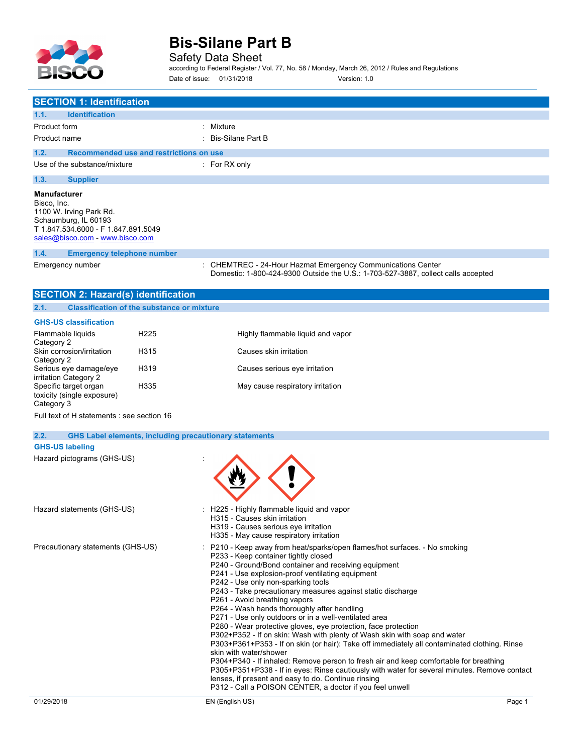

Safety Data Sheet

according to Federal Register / Vol. 77, No. 58 / Monday, March 26, 2012 / Rules and Regulations Date of issue: 01/31/2018 Version: 1.0

| <b>SECTION 1: Identification</b>                                                                                                                                |                                                   |                                                                                                                                                                                                                                                                                                                                                                                                                                                                                                                                                                                                                                                                                                                                                                                                                                                                                                                                                                                                                                                                   |        |
|-----------------------------------------------------------------------------------------------------------------------------------------------------------------|---------------------------------------------------|-------------------------------------------------------------------------------------------------------------------------------------------------------------------------------------------------------------------------------------------------------------------------------------------------------------------------------------------------------------------------------------------------------------------------------------------------------------------------------------------------------------------------------------------------------------------------------------------------------------------------------------------------------------------------------------------------------------------------------------------------------------------------------------------------------------------------------------------------------------------------------------------------------------------------------------------------------------------------------------------------------------------------------------------------------------------|--------|
| <b>Identification</b><br>1.1.                                                                                                                                   |                                                   | : Mixture                                                                                                                                                                                                                                                                                                                                                                                                                                                                                                                                                                                                                                                                                                                                                                                                                                                                                                                                                                                                                                                         |        |
| Product form<br>Product name                                                                                                                                    |                                                   | : Bis-Silane Part B                                                                                                                                                                                                                                                                                                                                                                                                                                                                                                                                                                                                                                                                                                                                                                                                                                                                                                                                                                                                                                               |        |
|                                                                                                                                                                 |                                                   |                                                                                                                                                                                                                                                                                                                                                                                                                                                                                                                                                                                                                                                                                                                                                                                                                                                                                                                                                                                                                                                                   |        |
| 1.2.                                                                                                                                                            | Recommended use and restrictions on use           |                                                                                                                                                                                                                                                                                                                                                                                                                                                                                                                                                                                                                                                                                                                                                                                                                                                                                                                                                                                                                                                                   |        |
| Use of the substance/mixture                                                                                                                                    |                                                   | $:$ For RX only                                                                                                                                                                                                                                                                                                                                                                                                                                                                                                                                                                                                                                                                                                                                                                                                                                                                                                                                                                                                                                                   |        |
| 1.3.<br><b>Supplier</b>                                                                                                                                         |                                                   |                                                                                                                                                                                                                                                                                                                                                                                                                                                                                                                                                                                                                                                                                                                                                                                                                                                                                                                                                                                                                                                                   |        |
| <b>Manufacturer</b><br>Bisco, Inc.<br>1100 W. Irving Park Rd.<br>Schaumburg, IL 60193<br>T 1.847.534.6000 - F 1.847.891.5049<br>sales@bisco.com - www.bisco.com |                                                   |                                                                                                                                                                                                                                                                                                                                                                                                                                                                                                                                                                                                                                                                                                                                                                                                                                                                                                                                                                                                                                                                   |        |
| 1.4.<br><b>Emergency telephone number</b>                                                                                                                       |                                                   |                                                                                                                                                                                                                                                                                                                                                                                                                                                                                                                                                                                                                                                                                                                                                                                                                                                                                                                                                                                                                                                                   |        |
| Emergency number                                                                                                                                                |                                                   | : CHEMTREC - 24-Hour Hazmat Emergency Communications Center<br>Domestic: 1-800-424-9300 Outside the U.S.: 1-703-527-3887, collect calls accepted                                                                                                                                                                                                                                                                                                                                                                                                                                                                                                                                                                                                                                                                                                                                                                                                                                                                                                                  |        |
| <b>SECTION 2: Hazard(s) identification</b>                                                                                                                      |                                                   |                                                                                                                                                                                                                                                                                                                                                                                                                                                                                                                                                                                                                                                                                                                                                                                                                                                                                                                                                                                                                                                                   |        |
| 2.1.                                                                                                                                                            | <b>Classification of the substance or mixture</b> |                                                                                                                                                                                                                                                                                                                                                                                                                                                                                                                                                                                                                                                                                                                                                                                                                                                                                                                                                                                                                                                                   |        |
| <b>GHS-US classification</b>                                                                                                                                    |                                                   |                                                                                                                                                                                                                                                                                                                                                                                                                                                                                                                                                                                                                                                                                                                                                                                                                                                                                                                                                                                                                                                                   |        |
| Flammable liquids<br>Category 2                                                                                                                                 | H <sub>225</sub>                                  | Highly flammable liquid and vapor                                                                                                                                                                                                                                                                                                                                                                                                                                                                                                                                                                                                                                                                                                                                                                                                                                                                                                                                                                                                                                 |        |
| Skin corrosion/irritation<br>Category 2                                                                                                                         | H315                                              | Causes skin irritation                                                                                                                                                                                                                                                                                                                                                                                                                                                                                                                                                                                                                                                                                                                                                                                                                                                                                                                                                                                                                                            |        |
| Serious eye damage/eye<br>irritation Category 2                                                                                                                 | H319                                              | Causes serious eye irritation                                                                                                                                                                                                                                                                                                                                                                                                                                                                                                                                                                                                                                                                                                                                                                                                                                                                                                                                                                                                                                     |        |
| Specific target organ<br>toxicity (single exposure)<br>Category 3                                                                                               | H335                                              | May cause respiratory irritation                                                                                                                                                                                                                                                                                                                                                                                                                                                                                                                                                                                                                                                                                                                                                                                                                                                                                                                                                                                                                                  |        |
| Full text of H statements : see section 16                                                                                                                      |                                                   |                                                                                                                                                                                                                                                                                                                                                                                                                                                                                                                                                                                                                                                                                                                                                                                                                                                                                                                                                                                                                                                                   |        |
| 2.2.                                                                                                                                                            |                                                   |                                                                                                                                                                                                                                                                                                                                                                                                                                                                                                                                                                                                                                                                                                                                                                                                                                                                                                                                                                                                                                                                   |        |
| <b>GHS-US labeling</b>                                                                                                                                          |                                                   | <b>GHS Label elements, including precautionary statements</b>                                                                                                                                                                                                                                                                                                                                                                                                                                                                                                                                                                                                                                                                                                                                                                                                                                                                                                                                                                                                     |        |
| Hazard pictograms (GHS-US)                                                                                                                                      |                                                   |                                                                                                                                                                                                                                                                                                                                                                                                                                                                                                                                                                                                                                                                                                                                                                                                                                                                                                                                                                                                                                                                   |        |
| Hazard statements (GHS-US)                                                                                                                                      |                                                   | : H225 - Highly flammable liguid and vapor<br>H315 - Causes skin irritation<br>H319 - Causes serious eye irritation<br>H335 - May cause respiratory irritation                                                                                                                                                                                                                                                                                                                                                                                                                                                                                                                                                                                                                                                                                                                                                                                                                                                                                                    |        |
| Precautionary statements (GHS-US)                                                                                                                               |                                                   | : P210 - Keep away from heat/sparks/open flames/hot surfaces. - No smoking<br>P233 - Keep container tightly closed<br>P240 - Ground/Bond container and receiving equipment<br>P241 - Use explosion-proof ventilating equipment<br>P242 - Use only non-sparking tools<br>P243 - Take precautionary measures against static discharge<br>P261 - Avoid breathing vapors<br>P264 - Wash hands thoroughly after handling<br>P271 - Use only outdoors or in a well-ventilated area<br>P280 - Wear protective gloves, eye protection, face protection<br>P302+P352 - If on skin: Wash with plenty of Wash skin with soap and water<br>P303+P361+P353 - If on skin (or hair): Take off immediately all contaminated clothing. Rinse<br>skin with water/shower<br>P304+P340 - If inhaled: Remove person to fresh air and keep comfortable for breathing<br>P305+P351+P338 - If in eyes: Rinse cautiously with water for several minutes. Remove contact<br>lenses, if present and easy to do. Continue rinsing<br>P312 - Call a POISON CENTER, a doctor if you feel unwell |        |
| 01/29/2018                                                                                                                                                      |                                                   | EN (English US)                                                                                                                                                                                                                                                                                                                                                                                                                                                                                                                                                                                                                                                                                                                                                                                                                                                                                                                                                                                                                                                   | Page 1 |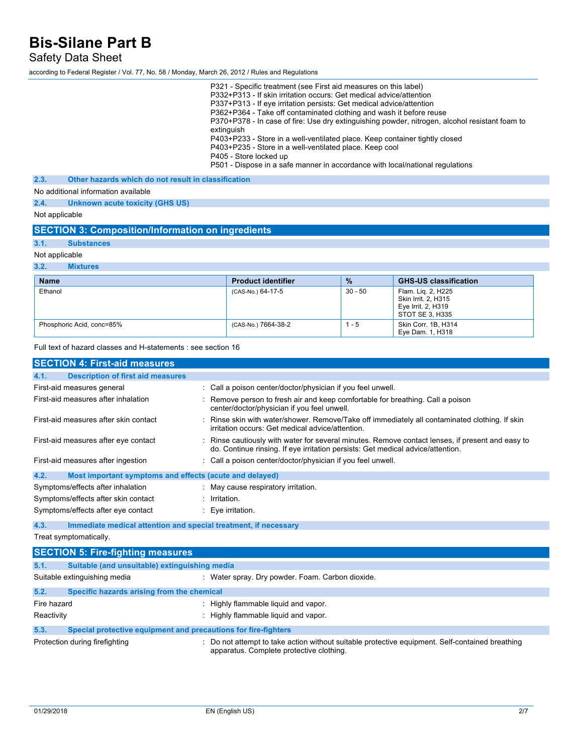### Safety Data Sheet

according to Federal Register / Vol. 77, No. 58 / Monday, March 26, 2012 / Rules and Regulations

|      |                                                     | P321 - Specific treatment (see First aid measures on this label)<br>P332+P313 - If skin irritation occurs: Get medical advice/attention<br>P337+P313 - If eye irritation persists: Get medical advice/attention<br>P362+P364 - Take off contaminated clothing and wash it before reuse<br>P370+P378 - In case of fire: Use dry extinguishing powder, nitrogen, alcohol resistant foam to<br>extinguish<br>P403+P233 - Store in a well-ventilated place. Keep container tightly closed<br>P403+P235 - Store in a well-ventilated place. Keep cool<br>P405 - Store locked up<br>P501 - Dispose in a safe manner in accordance with local/national regulations |
|------|-----------------------------------------------------|-------------------------------------------------------------------------------------------------------------------------------------------------------------------------------------------------------------------------------------------------------------------------------------------------------------------------------------------------------------------------------------------------------------------------------------------------------------------------------------------------------------------------------------------------------------------------------------------------------------------------------------------------------------|
| 2.3. | Other hazards which do not result in classification |                                                                                                                                                                                                                                                                                                                                                                                                                                                                                                                                                                                                                                                             |
|      | No additional information available                 |                                                                                                                                                                                                                                                                                                                                                                                                                                                                                                                                                                                                                                                             |
| 2.4. | Unknown acute toxicity (GHS US)                     |                                                                                                                                                                                                                                                                                                                                                                                                                                                                                                                                                                                                                                                             |
|      |                                                     |                                                                                                                                                                                                                                                                                                                                                                                                                                                                                                                                                                                                                                                             |

Not applicable

### **SECTION 3: Composition/Information on ingredients**

**3.1. Substances**

Not applicable

#### **3.2. Mixtures**

| <b>Name</b>               | <b>Product identifier</b> | $\frac{9}{6}$ | <b>GHS-US classification</b>                                                       |
|---------------------------|---------------------------|---------------|------------------------------------------------------------------------------------|
| Ethanol                   | (CAS-No.) 64-17-5         | 30 - 50       | Flam. Lig. 2, H225<br>Skin Irrit, 2, H315<br>Eye Irrit. 2, H319<br>STOT SE 3. H335 |
| Phosphoric Acid, conc=85% | (CAS-No.) 7664-38-2       | $1 - 5$       | Skin Corr. 1B, H314<br>Eye Dam. 1, H318                                            |

Full text of hazard classes and H-statements : see section 16

| <b>SECTION 4: First-aid measures</b>                            |                                                                                                                                                                                     |
|-----------------------------------------------------------------|-------------------------------------------------------------------------------------------------------------------------------------------------------------------------------------|
| 4.1.<br><b>Description of first aid measures</b>                |                                                                                                                                                                                     |
| First-aid measures general                                      | : Call a poison center/doctor/physician if you feel unwell.                                                                                                                         |
| First-aid measures after inhalation                             | : Remove person to fresh air and keep comfortable for breathing. Call a poison<br>center/doctor/physician if you feel unwell.                                                       |
| First-aid measures after skin contact                           | : Rinse skin with water/shower. Remove/Take off immediately all contaminated clothing. If skin<br>irritation occurs: Get medical advice/attention                                   |
| First-aid measures after eye contact                            | : Rinse cautiously with water for several minutes. Remove contact lenses, if present and easy to<br>do. Continue rinsing. If eye irritation persists: Get medical advice/attention. |
| First-aid measures after ingestion                              | : Call a poison center/doctor/physician if you feel unwell.                                                                                                                         |
| 4.2.<br>Most important symptoms and effects (acute and delayed) |                                                                                                                                                                                     |
| Symptoms/effects after inhalation                               | : May cause respiratory irritation.                                                                                                                                                 |
| Symptoms/effects after skin contact                             | $:$ Irritation.                                                                                                                                                                     |
| Symptoms/effects after eye contact                              | $\therefore$ Eye irritation.                                                                                                                                                        |

#### **4.3. Immediate medical attention and special treatment, if necessary**

Treat symptomatically.

### **SECTION 5: Fire-fighting measures 5.1. Suitable (and unsuitable) extinguishing media** Suitable extinguishing media : Water spray. Dry powder. Foam. Carbon dioxide. **5.2. Specific hazards arising from the chemical** Fire hazard **in the summable is a set of the set of the set of the set of the set of the set of the set of the set of the set of the set of the set of the set of the set of the set of the set of the set of the set of the s** Reactivity **Example 20** Reactivity **:** Highly flammable liquid and vapor. **5.3. Special protective equipment and precautions for fire-fighters** Protection during firefighting **interprotection** : Do not attempt to take action without suitable protective equipment. Self-contained breathing apparatus. Complete protective clothing.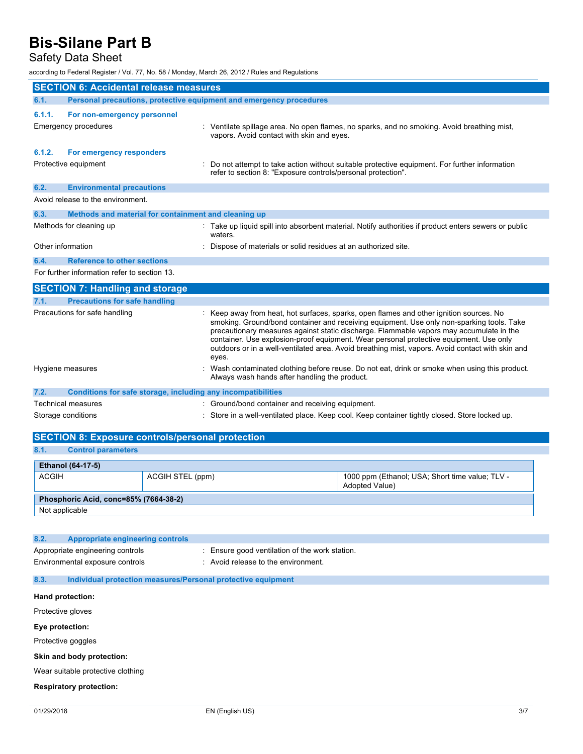## Safety Data Sheet

according to Federal Register / Vol. 77, No. 58 / Monday, March 26, 2012 / Rules and Regulations

|                    | <b>SECTION 6: Accidental release measures</b>                       |                                                                                                                                                                                                                                                                                                                                                                                                                                                                                        |  |
|--------------------|---------------------------------------------------------------------|----------------------------------------------------------------------------------------------------------------------------------------------------------------------------------------------------------------------------------------------------------------------------------------------------------------------------------------------------------------------------------------------------------------------------------------------------------------------------------------|--|
| 6.1.               | Personal precautions, protective equipment and emergency procedures |                                                                                                                                                                                                                                                                                                                                                                                                                                                                                        |  |
| 6.1.1.             | For non-emergency personnel                                         |                                                                                                                                                                                                                                                                                                                                                                                                                                                                                        |  |
|                    | <b>Emergency procedures</b>                                         | : Ventilate spillage area. No open flames, no sparks, and no smoking. Avoid breathing mist,<br>vapors. Avoid contact with skin and eyes.                                                                                                                                                                                                                                                                                                                                               |  |
| 6.1.2.             | For emergency responders                                            |                                                                                                                                                                                                                                                                                                                                                                                                                                                                                        |  |
|                    | Protective equipment                                                | Do not attempt to take action without suitable protective equipment. For further information<br>refer to section 8: "Exposure controls/personal protection".                                                                                                                                                                                                                                                                                                                           |  |
| 6.2.               | <b>Environmental precautions</b>                                    |                                                                                                                                                                                                                                                                                                                                                                                                                                                                                        |  |
|                    | Avoid release to the environment.                                   |                                                                                                                                                                                                                                                                                                                                                                                                                                                                                        |  |
| 6.3.               | Methods and material for containment and cleaning up                |                                                                                                                                                                                                                                                                                                                                                                                                                                                                                        |  |
|                    | Methods for cleaning up                                             | : Take up liquid spill into absorbent material. Notify authorities if product enters sewers or public<br>waters.                                                                                                                                                                                                                                                                                                                                                                       |  |
| Other information  |                                                                     | Dispose of materials or solid residues at an authorized site.                                                                                                                                                                                                                                                                                                                                                                                                                          |  |
| 6.4.               | <b>Reference to other sections</b>                                  |                                                                                                                                                                                                                                                                                                                                                                                                                                                                                        |  |
|                    | For further information refer to section 13.                        |                                                                                                                                                                                                                                                                                                                                                                                                                                                                                        |  |
|                    | <b>SECTION 7: Handling and storage</b>                              |                                                                                                                                                                                                                                                                                                                                                                                                                                                                                        |  |
| 7.1.               | <b>Precautions for safe handling</b>                                |                                                                                                                                                                                                                                                                                                                                                                                                                                                                                        |  |
|                    | Precautions for safe handling                                       | : Keep away from heat, hot surfaces, sparks, open flames and other ignition sources. No<br>smoking. Ground/bond container and receiving equipment. Use only non-sparking tools. Take<br>precautionary measures against static discharge. Flammable vapors may accumulate in the<br>container. Use explosion-proof equipment. Wear personal protective equipment. Use only<br>outdoors or in a well-ventilated area. Avoid breathing mist, vapors. Avoid contact with skin and<br>eyes. |  |
|                    | Hygiene measures                                                    | Wash contaminated clothing before reuse. Do not eat, drink or smoke when using this product.<br>Always wash hands after handling the product.                                                                                                                                                                                                                                                                                                                                          |  |
| 7.2.               | Conditions for safe storage, including any incompatibilities        |                                                                                                                                                                                                                                                                                                                                                                                                                                                                                        |  |
|                    | Technical measures                                                  | : Ground/bond container and receiving equipment.                                                                                                                                                                                                                                                                                                                                                                                                                                       |  |
| Storage conditions |                                                                     | : Store in a well-ventilated place. Keep cool. Keep container tightly closed. Store locked up.                                                                                                                                                                                                                                                                                                                                                                                         |  |
|                    | <b>SECTION 8: Exposure controls/personal protection</b>             |                                                                                                                                                                                                                                                                                                                                                                                                                                                                                        |  |
| 8.1.               | <b>Control parameters</b>                                           |                                                                                                                                                                                                                                                                                                                                                                                                                                                                                        |  |

| <b>Ethanol (64-17-5)</b>              |                  |                                                                          |  |  |
|---------------------------------------|------------------|--------------------------------------------------------------------------|--|--|
| <b>ACGIH</b>                          | ACGIH STEL (ppm) | 1000 ppm (Ethanol; USA; Short time value; TLV -<br><b>Adopted Value)</b> |  |  |
| Phosphoric Acid, conc=85% (7664-38-2) |                  |                                                                          |  |  |
| Not applicable                        |                  |                                                                          |  |  |

| 8.2.              | Appropriate engineering controls                                    |                                                                                       |
|-------------------|---------------------------------------------------------------------|---------------------------------------------------------------------------------------|
|                   | Appropriate engineering controls<br>Environmental exposure controls | : Ensure good ventilation of the work station.<br>: Avoid release to the environment. |
| 8.3.              | Individual protection measures/Personal protective equipment        |                                                                                       |
| Hand protection:  |                                                                     |                                                                                       |
| Protective gloves |                                                                     |                                                                                       |

**Eye protection:**

Protective goggles

**Skin and body protection:**

Wear suitable protective clothing

**Respiratory protection:**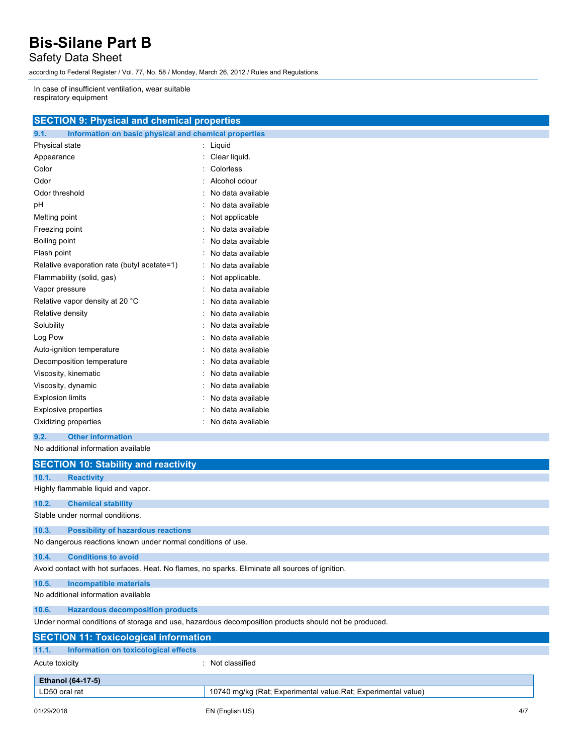Safety Data Sheet

according to Federal Register / Vol. 77, No. 58 / Monday, March 26, 2012 / Rules and Regulations

In case of insufficient ventilation, wear suitable respiratory equipment

| <b>SECTION 9: Physical and chemical properties</b> |  |  |
|----------------------------------------------------|--|--|
|                                                    |  |  |
|                                                    |  |  |

| Information on basic physical and chemical properties<br>9.1. |   |                   |
|---------------------------------------------------------------|---|-------------------|
| Physical state                                                | : | Liquid            |
| Appearance                                                    |   | Clear liquid.     |
| Color                                                         |   | Colorless         |
| Odor                                                          |   | Alcohol odour     |
| Odor threshold                                                |   | No data available |
| рH                                                            |   | No data available |
| Melting point                                                 |   | Not applicable    |
| Freezing point                                                |   | No data available |
| Boiling point                                                 |   | No data available |
| Flash point                                                   |   | No data available |
| Relative evaporation rate (butyl acetate=1)                   |   | No data available |
| Flammability (solid, gas)                                     |   | Not applicable.   |
| Vapor pressure                                                |   | No data available |
| Relative vapor density at 20 °C                               |   | No data available |
| Relative density                                              |   | No data available |
| Solubility                                                    |   | No data available |
| Log Pow                                                       |   | No data available |
| Auto-ignition temperature                                     |   | No data available |
| Decomposition temperature                                     |   | No data available |
| Viscosity, kinematic                                          |   | No data available |
| Viscosity, dynamic                                            |   | No data available |
| <b>Explosion limits</b>                                       |   | No data available |
| <b>Explosive properties</b>                                   |   | No data available |
| Oxidizing properties                                          |   | No data available |

#### **9.2. Other information**

No additional information available

|                                                                                                      | <b>SECTION 10: Stability and reactivity</b>                                                     |                                                                |  |  |  |
|------------------------------------------------------------------------------------------------------|-------------------------------------------------------------------------------------------------|----------------------------------------------------------------|--|--|--|
| 10.1.                                                                                                | <b>Reactivity</b>                                                                               |                                                                |  |  |  |
|                                                                                                      | Highly flammable liquid and vapor.                                                              |                                                                |  |  |  |
| 10.2.                                                                                                | <b>Chemical stability</b>                                                                       |                                                                |  |  |  |
|                                                                                                      | Stable under normal conditions.                                                                 |                                                                |  |  |  |
| 10.3.                                                                                                | <b>Possibility of hazardous reactions</b>                                                       |                                                                |  |  |  |
|                                                                                                      | No dangerous reactions known under normal conditions of use.                                    |                                                                |  |  |  |
| 10.4.                                                                                                | <b>Conditions to avoid</b>                                                                      |                                                                |  |  |  |
|                                                                                                      | Avoid contact with hot surfaces. Heat. No flames, no sparks. Eliminate all sources of ignition. |                                                                |  |  |  |
| 10.5.                                                                                                | <b>Incompatible materials</b>                                                                   |                                                                |  |  |  |
|                                                                                                      | No additional information available                                                             |                                                                |  |  |  |
| 10.6.                                                                                                | <b>Hazardous decomposition products</b>                                                         |                                                                |  |  |  |
| Under normal conditions of storage and use, hazardous decomposition products should not be produced. |                                                                                                 |                                                                |  |  |  |
|                                                                                                      | <b>SECTION 11: Toxicological information</b>                                                    |                                                                |  |  |  |
| 11.1.                                                                                                | Information on toxicological effects                                                            |                                                                |  |  |  |
| Acute toxicity                                                                                       |                                                                                                 | : Not classified                                               |  |  |  |
|                                                                                                      | <b>Ethanol (64-17-5)</b>                                                                        |                                                                |  |  |  |
| LD50 oral rat                                                                                        |                                                                                                 | 10740 mg/kg (Rat; Experimental value, Rat; Experimental value) |  |  |  |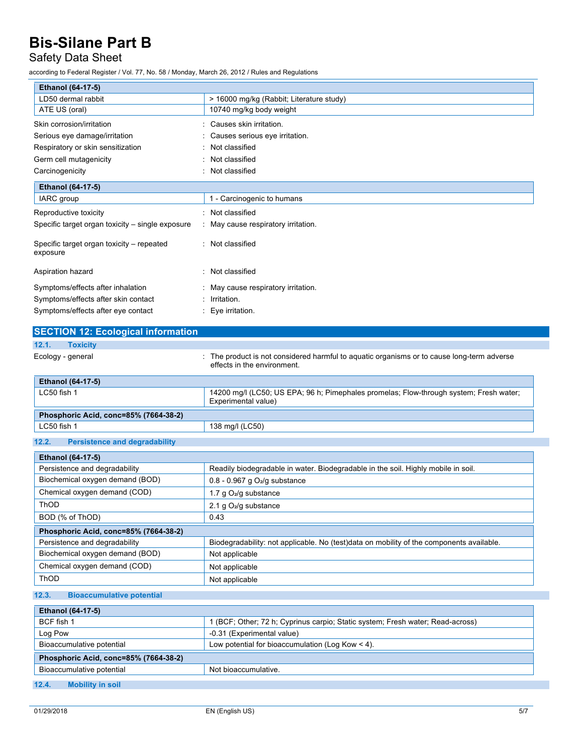## Safety Data Sheet

according to Federal Register / Vol. 77, No. 58 / Monday, March 26, 2012 / Rules and Regulations

| <b>Ethanol (64-17-5)</b>                              |                                          |
|-------------------------------------------------------|------------------------------------------|
| LD50 dermal rabbit                                    | > 16000 mg/kg (Rabbit; Literature study) |
| ATE US (oral)                                         | 10740 mg/kg body weight                  |
| Skin corrosion/irritation                             | Causes skin irritation.                  |
| Serious eye damage/irritation                         | Causes serious eye irritation.           |
| Respiratory or skin sensitization                     | Not classified                           |
| Germ cell mutagenicity                                | Not classified                           |
| Carcinogenicity                                       | Not classified<br>٠                      |
| Ethanol (64-17-5)                                     |                                          |
| IARC group                                            | 1 - Carcinogenic to humans               |
| Reproductive toxicity                                 | Not classified                           |
| Specific target organ toxicity – single exposure      | May cause respiratory irritation.        |
| Specific target organ toxicity – repeated<br>exposure | Not classified<br>٠                      |
| Aspiration hazard                                     | Not classified                           |
| Symptoms/effects after inhalation                     | May cause respiratory irritation.        |
| Symptoms/effects after skin contact                   | Irritation.                              |
| Symptoms/effects after eye contact                    | Eye irritation.                          |

| <b>SECTION 12: Ecological information</b> |                                                                                                                           |
|-------------------------------------------|---------------------------------------------------------------------------------------------------------------------------|
| 12.1.<br><b>Toxicity</b>                  |                                                                                                                           |
| Ecology - general                         | : The product is not considered harmful to aquatic organisms or to cause long-term adverse<br>effects in the environment. |
| <b>Ethanol (64-17-5)</b>                  |                                                                                                                           |
| LC50 fish 1                               | 14200 mg/l (LC50; US EPA; 96 h; Pimephales promelas; Flow-through system; Fresh water;<br>Experimental value)             |
| Phosphoric Acid, conc=85% (7664-38-2)     |                                                                                                                           |
| LC50 fish 1                               | 138 mg/l (LC50)                                                                                                           |

### **12.2. Persistence and degradability**

| <b>Ethanol (64-17-5)</b>              |                                                                                           |  |
|---------------------------------------|-------------------------------------------------------------------------------------------|--|
| Persistence and degradability         | Readily biodegradable in water. Biodegradable in the soil. Highly mobile in soil.         |  |
| Biochemical oxygen demand (BOD)       | $0.8 - 0.967$ g O <sub>2</sub> /g substance                                               |  |
| Chemical oxygen demand (COD)          | 1.7 g $O_2$ /g substance                                                                  |  |
| <b>ThOD</b>                           | 2.1 g $O_2$ /g substance                                                                  |  |
| BOD (% of ThOD)                       | 0.43                                                                                      |  |
| Phosphoric Acid, conc=85% (7664-38-2) |                                                                                           |  |
| Persistence and degradability         | Biodegradability: not applicable. No (test) data on mobility of the components available. |  |
| Biochemical oxygen demand (BOD)       | Not applicable                                                                            |  |
| Chemical oxygen demand (COD)          | Not applicable                                                                            |  |
| ThOD                                  | Not applicable                                                                            |  |

#### **12.3. Bioaccumulative potential**

| <b>Ethanol (64-17-5)</b>              |                                                                                |  |
|---------------------------------------|--------------------------------------------------------------------------------|--|
| BCF fish 1                            | 1 (BCF; Other; 72 h; Cyprinus carpio; Static system; Fresh water; Read-across) |  |
| Log Pow                               | -0.31 (Experimental value)                                                     |  |
| Bioaccumulative potential             | Low potential for bioaccumulation (Log Kow $<$ 4).                             |  |
| Phosphoric Acid, conc=85% (7664-38-2) |                                                                                |  |
| Bioaccumulative potential             | Not bioaccumulative.                                                           |  |
|                                       |                                                                                |  |

**12.4. Mobility in soil**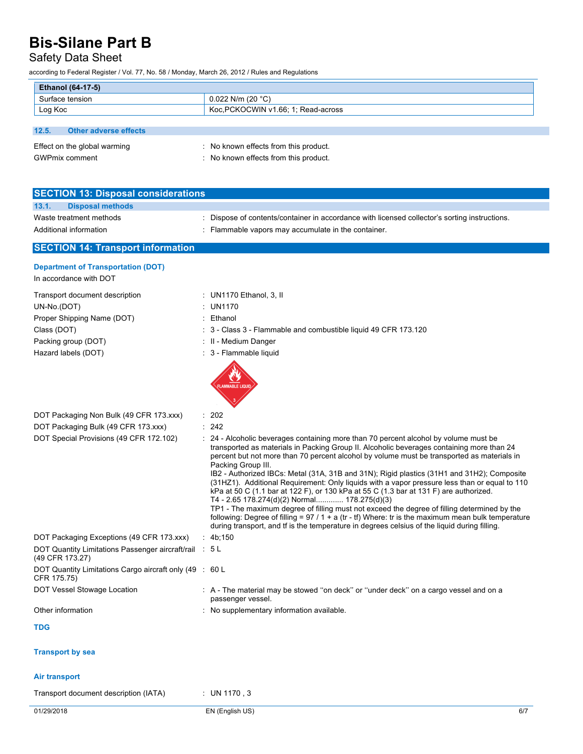Safety Data Sheet

according to Federal Register / Vol. 77, No. 58 / Monday, March 26, 2012 / Rules and Regulations

| <b>Ethanol (64-17-5)</b>       |                                       |  |
|--------------------------------|---------------------------------------|--|
| Surface tension                | $0.022$ N/m (20 °C)                   |  |
| Log Koc                        | Koc.PCKOCWIN v1.66; 1; Read-across    |  |
|                                |                                       |  |
| 12.5.<br>Other adverse effects |                                       |  |
| Effect on the global warming   | : No known effects from this product. |  |
| <b>GWPmix comment</b>          | : No known effects from this product. |  |

| <b>SECTION 13: Disposal considerations</b> |                                                                                               |
|--------------------------------------------|-----------------------------------------------------------------------------------------------|
| 13.1.<br><b>Disposal methods</b>           |                                                                                               |
| Waste treatment methods                    | : Dispose of contents/container in accordance with licensed collector's sorting instructions. |
| Additional information                     | : Flammable vapors may accumulate in the container.                                           |
| <b>SECTION 14: Transport information</b>   |                                                                                               |

#### **Department of Transportation (DOT)** In accordance with DOT

| III accordance with $D\cup D$                                             |                                                                                                                                                                                                                                                                                                                                                                                                                                                                                                                                                                                                                                                                                                                                                                                                                                                      |
|---------------------------------------------------------------------------|------------------------------------------------------------------------------------------------------------------------------------------------------------------------------------------------------------------------------------------------------------------------------------------------------------------------------------------------------------------------------------------------------------------------------------------------------------------------------------------------------------------------------------------------------------------------------------------------------------------------------------------------------------------------------------------------------------------------------------------------------------------------------------------------------------------------------------------------------|
| Transport document description                                            | : UN1170 Ethanol, 3, II                                                                                                                                                                                                                                                                                                                                                                                                                                                                                                                                                                                                                                                                                                                                                                                                                              |
| UN-No.(DOT)                                                               | : UN1170                                                                                                                                                                                                                                                                                                                                                                                                                                                                                                                                                                                                                                                                                                                                                                                                                                             |
| Proper Shipping Name (DOT)                                                | : Ethanol                                                                                                                                                                                                                                                                                                                                                                                                                                                                                                                                                                                                                                                                                                                                                                                                                                            |
| Class (DOT)                                                               | 3 - Class 3 - Flammable and combustible liquid 49 CFR 173.120                                                                                                                                                                                                                                                                                                                                                                                                                                                                                                                                                                                                                                                                                                                                                                                        |
| Packing group (DOT)                                                       | : II - Medium Danger                                                                                                                                                                                                                                                                                                                                                                                                                                                                                                                                                                                                                                                                                                                                                                                                                                 |
| Hazard labels (DOT)                                                       | : 3 - Flammable liquid<br><b>LAMMABLE LIQUID</b>                                                                                                                                                                                                                                                                                                                                                                                                                                                                                                                                                                                                                                                                                                                                                                                                     |
| DOT Packaging Non Bulk (49 CFR 173.xxx)                                   | : 202                                                                                                                                                                                                                                                                                                                                                                                                                                                                                                                                                                                                                                                                                                                                                                                                                                                |
| DOT Packaging Bulk (49 CFR 173.xxx)                                       | : 242                                                                                                                                                                                                                                                                                                                                                                                                                                                                                                                                                                                                                                                                                                                                                                                                                                                |
| DOT Special Provisions (49 CFR 172.102)                                   | : 24 - Alcoholic beverages containing more than 70 percent alcohol by volume must be<br>transported as materials in Packing Group II. Alcoholic beverages containing more than 24<br>percent but not more than 70 percent alcohol by volume must be transported as materials in<br>Packing Group III.<br>IB2 - Authorized IBCs: Metal (31A, 31B and 31N); Rigid plastics (31H1 and 31H2); Composite<br>(31HZ1). Additional Requirement: Only liquids with a vapor pressure less than or equal to 110<br>kPa at 50 C (1.1 bar at 122 F), or 130 kPa at 55 C (1.3 bar at 131 F) are authorized.<br>T4 - 2.65 178.274(d)(2) Normal 178.275(d)(3)<br>TP1 - The maximum degree of filling must not exceed the degree of filling determined by the<br>following: Degree of filling = $97 / 1 + a$ (tr - tf) Where: tr is the maximum mean bulk temperature |
| DOT Packaging Exceptions (49 CFR 173.xxx)                                 | during transport, and if is the temperature in degrees celsius of the liquid during filling.<br>: $4b:150$                                                                                                                                                                                                                                                                                                                                                                                                                                                                                                                                                                                                                                                                                                                                           |
| DOT Quantity Limitations Passenger aircraft/rail : 5 L<br>(49 CFR 173.27) |                                                                                                                                                                                                                                                                                                                                                                                                                                                                                                                                                                                                                                                                                                                                                                                                                                                      |
| DOT Quantity Limitations Cargo aircraft only (49 : 60 L<br>CFR 175.75)    |                                                                                                                                                                                                                                                                                                                                                                                                                                                                                                                                                                                                                                                                                                                                                                                                                                                      |
| DOT Vessel Stowage Location                                               | : A - The material may be stowed "on deck" or "under deck" on a cargo vessel and on a<br>passenger vessel.                                                                                                                                                                                                                                                                                                                                                                                                                                                                                                                                                                                                                                                                                                                                           |
| Other information                                                         | : No supplementary information available.                                                                                                                                                                                                                                                                                                                                                                                                                                                                                                                                                                                                                                                                                                                                                                                                            |
| <b>TDG</b>                                                                |                                                                                                                                                                                                                                                                                                                                                                                                                                                                                                                                                                                                                                                                                                                                                                                                                                                      |
| <b>Transport by sea</b>                                                   |                                                                                                                                                                                                                                                                                                                                                                                                                                                                                                                                                                                                                                                                                                                                                                                                                                                      |
| Air transport                                                             |                                                                                                                                                                                                                                                                                                                                                                                                                                                                                                                                                                                                                                                                                                                                                                                                                                                      |

Transport document description (IATA) : UN 1170 , 3